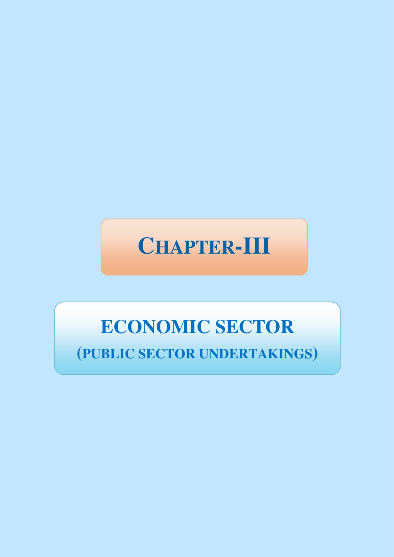

# **ECONOMIC SECTOR**

**(PUBLIC SECTOR UNDERTAKINGS)**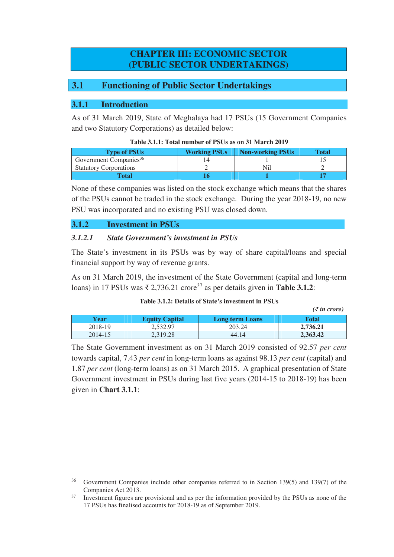## **CHAPTER III: ECONOMIC SECTOR (PUBLIC SECTOR UNDERTAKINGS)**

## **3.1 Functioning of Public Sector Undertakings**

## **3.1.1 Introduction**

As of 31 March 2019, State of Meghalaya had 17 PSUs (15 Government Companies and two Statutory Corporations) as detailed below:

| <b>Type of PSUs</b>                | <b>Working PSUs</b> | Non-working PSUs | Total |
|------------------------------------|---------------------|------------------|-------|
| Government Companies <sup>36</sup> |                     |                  |       |
| <b>Statutory Corporations</b>      |                     |                  |       |
| Total                              |                     |                  |       |

None of these companies was listed on the stock exchange which means that the shares of the PSUs cannot be traded in the stock exchange. During the year 2018-19, no new PSU was incorporated and no existing PSU was closed down.

#### **3.1.2 Investment in PSUs**

 $\overline{a}$ 

#### *3.1.2.1 State Government's investment in PSUs*

The State's investment in its PSUs was by way of share capital/loans and special financial support by way of revenue grants.

As on 31 March 2019, the investment of the State Government (capital and long-term loans) in 17 PSUs was ₹ 2,736.21 crore<sup>37</sup> as per details given in **Table 3.1.2**:

#### **Table 3.1.2: Details of State's investment in PSUs**

|         |                       |                        | $(\bar{\zeta}$ in crore) |
|---------|-----------------------|------------------------|--------------------------|
| Year    | <b>Equity Capital</b> | <b>Long term Loans</b> | Total                    |
| 2018-19 | 2.532.97              | 203.24                 | 2,736.21                 |
| 2014-15 | 2.319.28              | 44.14                  | 2,363.42                 |

The State Government investment as on 31 March 2019 consisted of 92.57 *per cent* towards capital, 7.43 *per cent* in long-term loans as against 98.13 *per cent* (capital) and 1.87 *per cent* (long-term loans) as on 31 March 2015. A graphical presentation of State Government investment in PSUs during last five years (2014-15 to 2018-19) has been given in **Chart 3.1.1**:

<sup>&</sup>lt;sup>36</sup> Government Companies include other companies referred to in Section 139(5) and 139(7) of the Companies Act 2013.

<sup>&</sup>lt;sup>37</sup> Investment figures are provisional and as per the information provided by the PSUs as none of the 17 PSUs has finalised accounts for 2018-19 as of September 2019.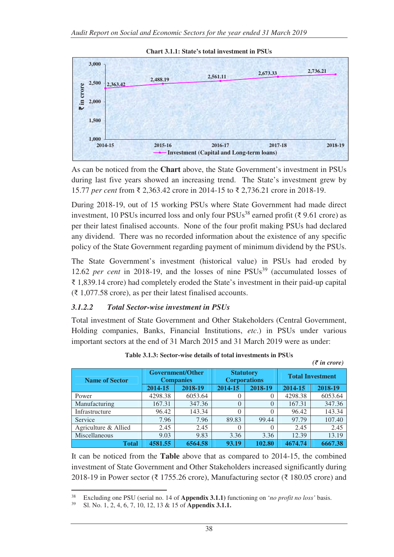



As can be noticed from the **Chart** above, the State Government's investment in PSUs during last five years showed an increasing trend. The State's investment grew by 15.77 *per cent* from ₹ 2,363.42 crore in 2014-15 to ₹ 2,736.21 crore in 2018-19.

During 2018-19, out of 15 working PSUs where State Government had made direct investment, 10 PSUs incurred loss and only four PSUs<sup>38</sup> earned profit (₹ 9.61 crore) as per their latest finalised accounts. None of the four profit making PSUs had declared any dividend. There was no recorded information about the existence of any specific policy of the State Government regarding payment of minimum dividend by the PSUs.

The State Government's investment (historical value) in PSUs had eroded by 12.62 *per cent* in 2018-19, and the losses of nine PSUs<sup>39</sup> (accumulated losses of ₹ 1,839.14 crore) had completely eroded the State's investment in their paid-up capital  $(3.1,077.58)$  crore), as per their latest finalised accounts.

#### *3.1.2.2 Total Sector-wise investment in PSUs*

Total investment of State Government and Other Stakeholders (Central Government, Holding companies, Banks, Financial Institutions, *etc*.) in PSUs under various important sectors at the end of 31 March 2015 and 31 March 2019 were as under:

| $(\bar{\mathcal{F}}$ in crore) |                                                                                        |         |          |          |                         |         |  |
|--------------------------------|----------------------------------------------------------------------------------------|---------|----------|----------|-------------------------|---------|--|
| <b>Name of Sector</b>          | <b>Government/Other</b><br><b>Statutory</b><br><b>Corporations</b><br><b>Companies</b> |         |          |          | <b>Total Investment</b> |         |  |
|                                | 2014-15                                                                                | 2018-19 | 2014-15  | 2018-19  | 2014-15                 | 2018-19 |  |
| Power                          | 4298.38                                                                                | 6053.64 |          | 0        | 4298.38                 | 6053.64 |  |
| Manufacturing                  | 167.31                                                                                 | 347.36  | $\Omega$ | $\Omega$ | 167.31                  | 347.36  |  |
| Infrastructure                 | 96.42                                                                                  | 143.34  | $\Omega$ | $\theta$ | 96.42                   | 143.34  |  |
| Service                        | 7.96                                                                                   | 7.96    | 89.83    | 99.44    | 97.79                   | 107.40  |  |
| Agriculture & Allied           | 2.45                                                                                   | 2.45    | $\theta$ | $\Omega$ | 2.45                    | 2.45    |  |
| Miscellaneous                  | 9.03                                                                                   | 9.83    | 3.36     | 3.36     | 12.39                   | 13.19   |  |
| <b>Total</b>                   | 4581.55                                                                                | 6564.58 | 93.19    | 102.80   | 4674.74                 | 6667.38 |  |

| Table 3.1.3: Sector-wise details of total investments in PSUs |  |
|---------------------------------------------------------------|--|
|---------------------------------------------------------------|--|

It can be noticed from the **Table** above that as compared to 2014-15, the combined investment of State Government and Other Stakeholders increased significantly during 2018-19 in Power sector (₹ 1755.26 crore), Manufacturing sector (₹ 180.05 crore) and

 $38$ <sup>38</sup> Excluding one PSU (serial no. 14 of **Appendix 3.1.1)** functioning on '*no profit no loss'* basis.

<sup>39</sup> Sl. No. 1, 2, 4, 6, 7, 10, 12, 13 & 15 of **Appendix 3.1.1.**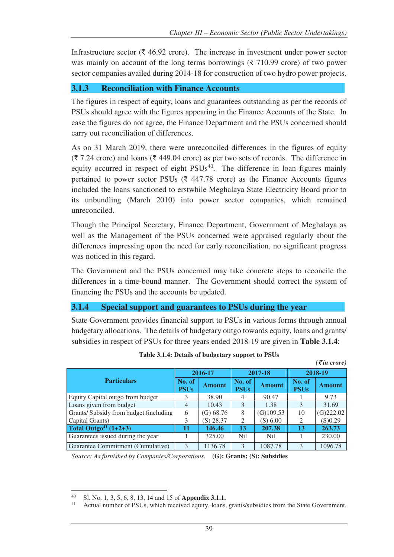Infrastructure sector ( $\bar{\tau}$  46.92 crore). The increase in investment under power sector was mainly on account of the long terms borrowings (₹ 710.99 crore) of two power sector companies availed during 2014-18 for construction of two hydro power projects.

## **3.1.3 Reconciliation with Finance Accounts**

The figures in respect of equity, loans and guarantees outstanding as per the records of PSUs should agree with the figures appearing in the Finance Accounts of the State. In case the figures do not agree, the Finance Department and the PSUs concerned should carry out reconciliation of differences.

As on 31 March 2019, there were unreconciled differences in the figures of equity (₹ 7.24 crore) and loans (₹ 449.04 crore) as per two sets of records. The difference in equity occurred in respect of eight  $PSUs<sup>40</sup>$ . The difference in loan figures mainly pertained to power sector PSUs ( $\bar{\xi}$  447.78 crore) as the Finance Accounts figures included the loans sanctioned to erstwhile Meghalaya State Electricity Board prior to its unbundling (March 2010) into power sector companies, which remained unreconciled.

Though the Principal Secretary, Finance Department, Government of Meghalaya as well as the Management of the PSUs concerned were appraised regularly about the differences impressing upon the need for early reconciliation, no significant progress was noticed in this regard.

The Government and the PSUs concerned may take concrete steps to reconcile the differences in a time-bound manner. The Government should correct the system of financing the PSUs and the accounts be updated.

#### **3.1.4 Special support and guarantees to PSUs during the year**

State Government provides financial support to PSUs in various forms through annual budgetary allocations. The details of budgetary outgo towards equity, loans and grants/ subsidies in respect of PSUs for three years ended 2018-19 are given in **Table 3.1.4**:

|                                       | 2016-17               |               | 2017-18               |               | 2018-19               |               |
|---------------------------------------|-----------------------|---------------|-----------------------|---------------|-----------------------|---------------|
| <b>Particulars</b>                    | No. of<br><b>PSUs</b> | <b>Amount</b> | No. of<br><b>PSUs</b> | <b>Amount</b> | No. of<br><b>PSUs</b> | <b>Amount</b> |
| Equity Capital outgo from budget      |                       | 38.90         | 4                     | 90.47         |                       | 9.73          |
| Loans given from budget               | $\overline{4}$        | 10.43         | 3                     | 1.38          | 3                     | 31.69         |
| Grants/Subsidy from budget (including | 6                     | (G) 68.76     | 8                     | $(G)$ 109.53  | 10                    | (G)222.02     |
| Capital Grants)                       | 3                     | $(S)$ 28.37   | 2                     | (S) 6.00      | $\overline{c}$        | (S)0.29       |
| Total Outgo <sup>41</sup> $(1+2+3)$   | 11                    | 146.46        | 13                    | 207.38        | 13                    | 263.73        |
| Guarantees issued during the year     |                       | 325.00        | N <sub>i</sub>        | Nil           |                       | 230.00        |
| Guarantee Commitment (Cumulative)     | 3                     | 1136.78       | $\mathbf{R}$          | 1087.78       | $\mathcal{R}$         | 1096.78       |

**Table 3.1.4: Details of budgetary support to PSUs** 

*(*` *in crore)* 

*Source: As furnished by Companies/Corporations.* **(G): Grants; (S): Subsidies** 

 $40$ <sup>40</sup> Sl. No. 1, 3, 5, 6, 8, 13, 14 and 15 of **Appendix 3.1.1.**

Actual number of PSUs, which received equity, loans, grants/subsidies from the State Government.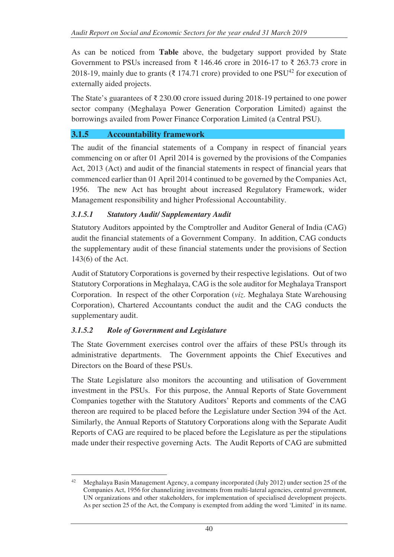As can be noticed from **Table** above, the budgetary support provided by State Government to PSUs increased from ₹ 146.46 crore in 2016-17 to ₹ 263.73 crore in 2018-19, mainly due to grants (₹ 174.71 crore) provided to one PSU<sup>42</sup> for execution of externally aided projects.

The State's guarantees of ₹ 230.00 crore issued during 2018-19 pertained to one power sector company (Meghalaya Power Generation Corporation Limited) against the borrowings availed from Power Finance Corporation Limited (a Central PSU).

## **3.1.5 Accountability framework**

The audit of the financial statements of a Company in respect of financial years commencing on or after 01 April 2014 is governed by the provisions of the Companies Act, 2013 (Act) and audit of the financial statements in respect of financial years that commenced earlier than 01 April 2014 continued to be governed by the Companies Act, 1956. The new Act has brought about increased Regulatory Framework, wider Management responsibility and higher Professional Accountability.

## *3.1.5.1 Statutory Audit/ Supplementary Audit*

Statutory Auditors appointed by the Comptroller and Auditor General of India (CAG) audit the financial statements of a Government Company. In addition, CAG conducts the supplementary audit of these financial statements under the provisions of Section 143(6) of the Act.

Audit of Statutory Corporations is governed by their respective legislations. Out of two Statutory Corporations in Meghalaya, CAG is the sole auditor for Meghalaya Transport Corporation. In respect of the other Corporation (*viz*. Meghalaya State Warehousing Corporation), Chartered Accountants conduct the audit and the CAG conducts the supplementary audit.

## *3.1.5.2 Role of Government and Legislature*

The State Government exercises control over the affairs of these PSUs through its administrative departments. The Government appoints the Chief Executives and Directors on the Board of these PSUs.

The State Legislature also monitors the accounting and utilisation of Government investment in the PSUs. For this purpose, the Annual Reports of State Government Companies together with the Statutory Auditors' Reports and comments of the CAG thereon are required to be placed before the Legislature under Section 394 of the Act. Similarly, the Annual Reports of Statutory Corporations along with the Separate Audit Reports of CAG are required to be placed before the Legislature as per the stipulations made under their respective governing Acts. The Audit Reports of CAG are submitted

<sup>42</sup> <sup>42</sup> Meghalaya Basin Management Agency, a company incorporated (July 2012) under section 25 of the Companies Act, 1956 for channelizing investments from multi-lateral agencies, central government, UN organizations and other stakeholders, for implementation of specialised development projects. As per section 25 of the Act, the Company is exempted from adding the word 'Limited' in its name.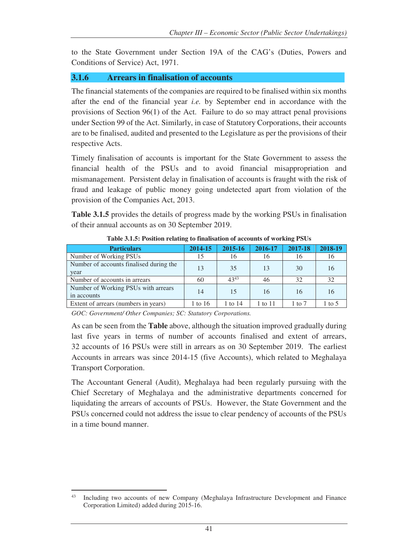to the State Government under Section 19A of the CAG's (Duties, Powers and Conditions of Service) Act, 1971.

## **3.1.6 Arrears in finalisation of accounts**

The financial statements of the companies are required to be finalised within six months after the end of the financial year *i.e.* by September end in accordance with the provisions of Section 96(1) of the Act. Failure to do so may attract penal provisions under Section 99 of the Act. Similarly, in case of Statutory Corporations, their accounts are to be finalised, audited and presented to the Legislature as per the provisions of their respective Acts.

Timely finalisation of accounts is important for the State Government to assess the financial health of the PSUs and to avoid financial misappropriation and mismanagement. Persistent delay in finalisation of accounts is fraught with the risk of fraud and leakage of public money going undetected apart from violation of the provision of the Companies Act, 2013.

**Table 3.1.5** provides the details of progress made by the working PSUs in finalisation of their annual accounts as on 30 September 2019.

| <b>Particulars</b>                                 | 2014-15 | 2015-16   | 2016-17 | 2017-18 | 2018-19 |
|----------------------------------------------------|---------|-----------|---------|---------|---------|
| Number of Working PSUs                             |         | 16        | 16      | 16      | 16      |
| Number of accounts finalised during the<br>year    | 13      | 35        | 13      | 30      | 16      |
| Number of accounts in arrears                      | 60      | $43^{43}$ | 46      | 32      | 32      |
| Number of Working PSUs with arrears<br>in accounts | 14      | 15        | 16      | 16      | 16      |
| Extent of arrears (numbers in years)               | 1 to 16 | 1 to 14   | 1 to 11 | 1 to 7  | 1 to 5  |

**Table 3.1.5: Position relating to finalisation of accounts of working PSUs** 

*GOC: Government/ Other Companies; SC: Statutory Corporations.* 

As can be seen from the **Table** above, although the situation improved gradually during last five years in terms of number of accounts finalised and extent of arrears, 32 accounts of 16 PSUs were still in arrears as on 30 September 2019. The earliest Accounts in arrears was since 2014-15 (five Accounts), which related to Meghalaya Transport Corporation.

The Accountant General (Audit), Meghalaya had been regularly pursuing with the Chief Secretary of Meghalaya and the administrative departments concerned for liquidating the arrears of accounts of PSUs. However, the State Government and the PSUs concerned could not address the issue to clear pendency of accounts of the PSUs in a time bound manner.

 $43$ Including two accounts of new Company (Meghalaya Infrastructure Development and Finance Corporation Limited) added during 2015-16.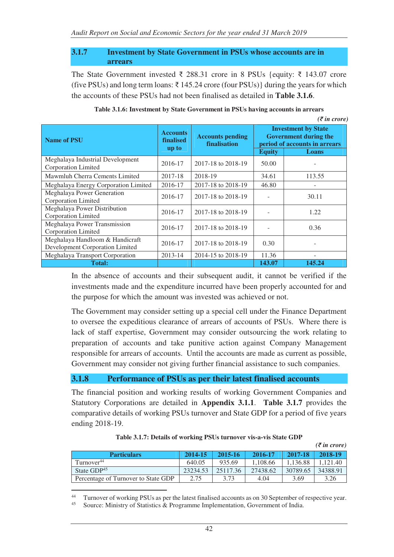#### **3.1.7 Investment by State Government in PSUs whose accounts are in arrears**

The State Government invested ₹ 288.31 crore in 8 PSUs {equity: ₹ 143.07 crore (five PSUs) and long term loans: ₹ 145.24 crore (four PSUs)} during the years for which the accounts of these PSUs had not been finalised as detailed in **Table 3.1.6**.

| <b>Name of PSU</b>                                                 | <b>Accounts</b><br><b>Accounts pending</b><br><b>finalised</b><br>finalisation<br>up to |                    | <b>Investment by State</b><br><b>Government during the</b><br>period of accounts in arrears |        |  |
|--------------------------------------------------------------------|-----------------------------------------------------------------------------------------|--------------------|---------------------------------------------------------------------------------------------|--------|--|
|                                                                    |                                                                                         |                    | <b>Equity</b>                                                                               | Loans  |  |
| Meghalaya Industrial Development<br>Corporation Limited            | 2016-17                                                                                 | 2017-18 to 2018-19 | 50.00                                                                                       |        |  |
| Mawmluh Cherra Cements Limited                                     | 2017-18                                                                                 | 2018-19            | 34.61                                                                                       | 113.55 |  |
| Meghalaya Energy Corporation Limited                               | 2016-17                                                                                 | 2017-18 to 2018-19 | 46.80                                                                                       |        |  |
| Meghalaya Power Generation<br>Corporation Limited                  | 2016-17                                                                                 | 2017-18 to 2018-19 |                                                                                             | 30.11  |  |
| Meghalaya Power Distribution<br>Corporation Limited                | 2016-17                                                                                 | 2017-18 to 2018-19 |                                                                                             | 1.22   |  |
| Meghalaya Power Transmission<br>Corporation Limited                | 2016-17                                                                                 | 2017-18 to 2018-19 |                                                                                             | 0.36   |  |
| Meghalaya Handloom & Handicraft<br>Development Corporation Limited | 2016-17                                                                                 | 2017-18 to 2018-19 | 0.30                                                                                        |        |  |
| Meghalaya Transport Corporation                                    | 2013-14                                                                                 | 2014-15 to 2018-19 | 11.36                                                                                       |        |  |
| <b>Total:</b>                                                      |                                                                                         |                    | 143.07                                                                                      | 145.24 |  |

| Table 3.1.6: Investment by State Government in PSUs having accounts in arrears |  |  |  |  |
|--------------------------------------------------------------------------------|--|--|--|--|
|--------------------------------------------------------------------------------|--|--|--|--|

*(₹ in crore)* 

In the absence of accounts and their subsequent audit, it cannot be verified if the investments made and the expenditure incurred have been properly accounted for and the purpose for which the amount was invested was achieved or not.

The Government may consider setting up a special cell under the Finance Department to oversee the expeditious clearance of arrears of accounts of PSUs. Where there is lack of staff expertise, Government may consider outsourcing the work relating to preparation of accounts and take punitive action against Company Management responsible for arrears of accounts. Until the accounts are made as current as possible, Government may consider not giving further financial assistance to such companies.

#### **3.1.8 Performance of PSUs as per their latest finalised accounts**

The financial position and working results of working Government Companies and Statutory Corporations are detailed in **Appendix 3.1.1**. **Table 3.1.7** provides the comparative details of working PSUs turnover and State GDP for a period of five years ending 2018-19.

|                                     |          |          |          |          | $(\bar{\mathcal{F}}$ in crore) |
|-------------------------------------|----------|----------|----------|----------|--------------------------------|
| <b>Particulars</b>                  | 2014-15  | 2015-16  | 2016-17  | 2017-18  | 2018-19                        |
| Turnover <sup>44</sup>              | 640.05   | 935.69   | 1.108.66 | 1.136.88 | .121.40                        |
| State $GDP45$                       | 23234.53 | 25117.36 | 27438.62 | 30789.65 | 34388.91                       |
| Percentage of Turnover to State GDP | 2.75     | 3.73     | 4.04     | 3.69     | 3.26                           |

|  | Table 3.1.7: Details of working PSUs turnover vis-a-vis State GDP |  |
|--|-------------------------------------------------------------------|--|
|--|-------------------------------------------------------------------|--|

 $44$ <sup>44</sup> Turnover of working PSUs as per the latest finalised accounts as on 30 September of respective year.<br><sup>45</sup> Source: Ministry of Statistics & Programme Implementation. Government of India

Source: Ministry of Statistics & Programme Implementation, Government of India.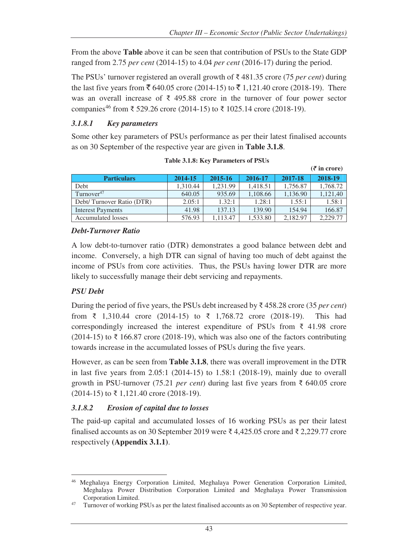**(***₹* **in crore)** 

From the above **Table** above it can be seen that contribution of PSUs to the State GDP ranged from 2.75 *per cent* (2014-15) to 4.04 *per cent* (2016-17) during the period.

The PSUs' turnover registered an overall growth of ₹ 481.35 crore (75 *per cent*) during the last five years from  $\bar{\xi}$  640.05 crore (2014-15) to  $\bar{\xi}$  1,121.40 crore (2018-19). There was an overall increase of ₹ 495.88 crore in the turnover of four power sector companies<sup>46</sup> from ₹ 529.26 crore (2014-15) to ₹ 1025.14 crore (2018-19).

## *3.1.8.1 Key parameters*

Some other key parameters of PSUs performance as per their latest finalised accounts as on 30 September of the respective year are given in **Table 3.1.8**.

|                           |          |          |          |          | $(5 \text{ m})$ |
|---------------------------|----------|----------|----------|----------|-----------------|
| <b>Particulars</b>        | 2014-15  | 2015-16  | 2016-17  | 2017-18  | 2018-19         |
| Debt                      | 1.310.44 | 1.231.99 | 1.418.51 | 1,756.87 | 1,768.72        |
| Turnover $47$             | 640.05   | 935.69   | 1.108.66 | 1,136.90 | 1,121,40        |
| Debt/Turnover Ratio (DTR) | 2.05:1   | 1.32:1   | 1.28:1   | 1.55:1   | 1.58:1          |
| <b>Interest Payments</b>  | 41.98    | 137.13   | 139.90   | 154.94   | 166.87          |
| Accumulated losses        | 576.93   | 1.113.47 | 1,533.80 | 2,182.97 | 2,229.77        |

**Table 3.1.8: Key Parameters of PSUs** 

#### *Debt-Turnover Ratio*

A low debt-to-turnover ratio (DTR) demonstrates a good balance between debt and income. Conversely, a high DTR can signal of having too much of debt against the income of PSUs from core activities. Thus, the PSUs having lower DTR are more likely to successfully manage their debt servicing and repayments.

#### *PSU Debt*

During the period of five years, the PSUs debt increased by ₹ 458.28 crore (35 *per cent*) from ₹ 1,310.44 crore (2014-15) to ₹ 1,768.72 crore (2018-19). This had correspondingly increased the interest expenditure of PSUs from ₹ 41.98 crore  $(2014-15)$  to ₹ 166.87 crore (2018-19), which was also one of the factors contributing towards increase in the accumulated losses of PSUs during the five years.

However, as can be seen from **Table 3.1.8**, there was overall improvement in the DTR in last five years from 2.05:1 (2014-15) to 1.58:1 (2018-19), mainly due to overall growth in PSU-turnover (75.21 *per cent*) during last five years from ₹ 640.05 crore (2014-15) to ₹ 1,121.40 crore (2018-19).

#### *3.1.8.2 Erosion of capital due to losses*

The paid-up capital and accumulated losses of 16 working PSUs as per their latest finalised accounts as on 30 September 2019 were ₹ 4,425.05 crore and ₹ 2,229.77 crore respectively **(Appendix 3.1.1)**.

 $\overline{a}$ <sup>46</sup> Meghalaya Energy Corporation Limited, Meghalaya Power Generation Corporation Limited, Meghalaya Power Distribution Corporation Limited and Meghalaya Power Transmission Corporation Limited.

<sup>47</sup> Turnover of working PSUs as per the latest finalised accounts as on 30 September of respective year.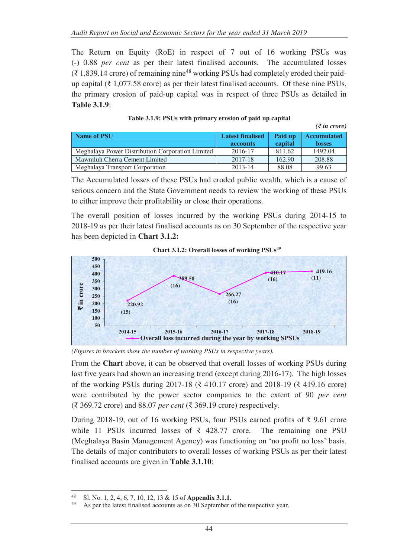The Return on Equity (RoE) in respect of 7 out of 16 working PSUs was (-) 0.88 *per cent* as per their latest finalised accounts. The accumulated losses  $(3.1,839.14 \text{ core})$  of remaining nine<sup>48</sup> working PSUs had completely eroded their paidup capital ( $\bar{\tau}$  1,077.58 crore) as per their latest finalised accounts. Of these nine PSUs, the primary erosion of paid-up capital was in respect of three PSUs as detailed in **Table 3.1.9**:

| Name of PSU                                      | <b>Latest finalised</b> | Paid up | <b>Accumulated</b> |  |
|--------------------------------------------------|-------------------------|---------|--------------------|--|
|                                                  | <b>accounts</b>         | capital | <b>losses</b>      |  |
| Meghalaya Power Distribution Corporation Limited | 2016-17                 | 811.62  | 1492.04            |  |
| Mawmluh Cherra Cement Limited                    | 2017-18                 | 162.90  | 208.88             |  |
| Meghalaya Transport Corporation                  | 2013-14                 | 88.08   | 99.63              |  |

| Table 3.1.9: PSUs with primary erosion of paid up capital |  |  |  |  |  |
|-----------------------------------------------------------|--|--|--|--|--|
|-----------------------------------------------------------|--|--|--|--|--|

*(₹ in crore)* 

The Accumulated losses of these PSUs had eroded public wealth, which is a cause of serious concern and the State Government needs to review the working of these PSUs to either improve their profitability or close their operations.

The overall position of losses incurred by the working PSUs during 2014-15 to 2018-19 as per their latest finalised accounts as on 30 September of the respective year has been depicted in **Chart 3.1.2:**



**Chart 3.1.2: Overall losses of working PSUs<sup>49</sup>**

*(Figures in brackets show the number of working PSUs in respective years).* 

From the **Chart** above, it can be observed that overall losses of working PSUs during last five years had shown an increasing trend (except during 2016-17). The high losses of the working PSUs during 2017-18 (₹ 410.17 crore) and 2018-19 (₹ 419.16 crore) were contributed by the power sector companies to the extent of 90 *per cent*  (₹ 369.72 crore) and 88.07 *per cent* (₹ 369.19 crore) respectively.

During 2018-19, out of 16 working PSUs, four PSUs earned profits of ₹ 9.61 crore while 11 PSUs incurred losses of ₹ 428.77 crore. The remaining one PSU (Meghalaya Basin Management Agency) was functioning on 'no profit no loss' basis. The details of major contributors to overall losses of working PSUs as per their latest finalised accounts are given in **Table 3.1.10**:

<sup>48</sup> <sup>48</sup> Sl. No. 1, 2, 4, 6, 7, 10, 12, 13 & 15 of **Appendix 3.1.1.**

As per the latest finalised accounts as on 30 September of the respective year.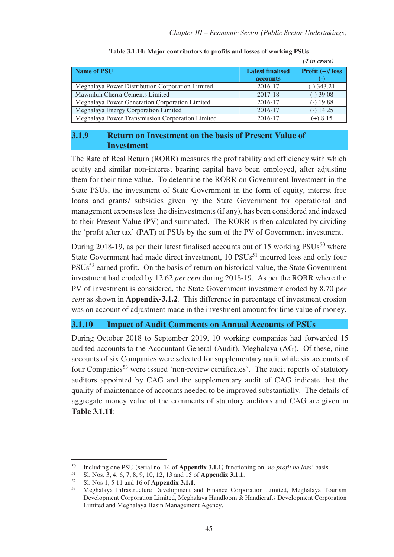|                                                  |                         | $(\bar{\mathbf{\xi}}$ in crore) |
|--------------------------------------------------|-------------------------|---------------------------------|
| <b>Name of PSU</b>                               | <b>Latest finalised</b> | Profit $(+)/$ loss              |
|                                                  | <b>accounts</b>         |                                 |
| Meghalaya Power Distribution Corporation Limited | 2016-17                 | $(-)$ 343.21                    |
| Mawmluh Cherra Cements Limited                   | 2017-18                 | $(-)$ 39.08                     |
| Meghalaya Power Generation Corporation Limited   | 2016-17                 | $(-)$ 19.88                     |
| Meghalaya Energy Corporation Limited             | 2016-17                 | $(-)$ 14.25                     |
| Meghalaya Power Transmission Corporation Limited | 2016-17                 | $(+) 8.15$                      |

#### **Table 3.1.10: Major contributors to profits and losses of working PSUs**

#### **3.1.9 Return on Investment on the basis of Present Value of Investment**

The Rate of Real Return (RORR) measures the profitability and efficiency with which equity and similar non-interest bearing capital have been employed, after adjusting them for their time value. To determine the RORR on Government Investment in the State PSUs, the investment of State Government in the form of equity, interest free loans and grants/ subsidies given by the State Government for operational and management expenses less the disinvestments (if any), has been considered and indexed to their Present Value (PV) and summated. The RORR is then calculated by dividing the 'profit after tax' (PAT) of PSUs by the sum of the PV of Government investment.

During 2018-19, as per their latest finalised accounts out of 15 working  $PSUs<sup>50</sup>$  where State Government had made direct investment, 10 PSUs<sup>51</sup> incurred loss and only four PSUs<sup>52</sup> earned profit. On the basis of return on historical value, the State Government investment had eroded by 12.62 *per cent* during 2018-19. As per the RORR where the PV of investment is considered, the State Government investment eroded by 8.70 p*er cent* as shown in **Appendix-3.1.2***.* This difference in percentage of investment erosion was on account of adjustment made in the investment amount for time value of money.

#### **3.1.10 Impact of Audit Comments on Annual Accounts of PSUs**

During October 2018 to September 2019, 10 working companies had forwarded 15 audited accounts to the Accountant General (Audit), Meghalaya (AG). Of these, nine accounts of six Companies were selected for supplementary audit while six accounts of four Companies<sup>53</sup> were issued 'non-review certificates'. The audit reports of statutory auditors appointed by CAG and the supplementary audit of CAG indicate that the quality of maintenance of accounts needed to be improved substantially. The details of aggregate money value of the comments of statutory auditors and CAG are given in **Table 3.1.11**:

 $\overline{a}$ <sup>50</sup> Including one PSU (serial no. 14 of **Appendix 3.1.1***)* functioning on '*no profit no loss'* basis.

<sup>51</sup> Sl. Nos. 3, 4, 6, 7, 8, 9, 10, 12, 13 and 15 of **Appendix 3.1.1**.

<sup>52</sup> Sl. Nos 1, 5 11 and 16 of **Appendix 3.1.1**.

<sup>53</sup> Meghalaya Infrastructure Development and Finance Corporation Limited, Meghalaya Tourism Development Corporation Limited, Meghalaya Handloom & Handicrafts Development Corporation Limited and Meghalaya Basin Management Agency.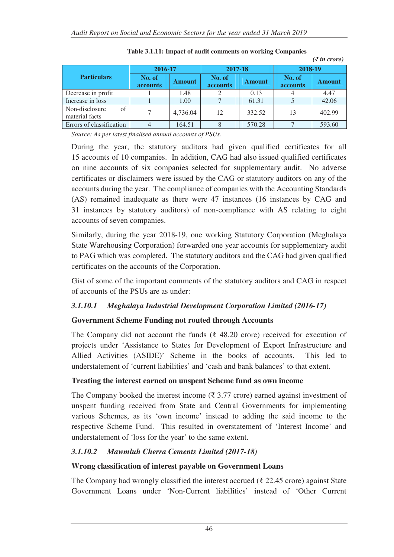|                                        |                           |               |                    |               |                    | $(\bar{\zeta}$ in crore) |
|----------------------------------------|---------------------------|---------------|--------------------|---------------|--------------------|--------------------------|
|                                        | 2016-17                   |               | 2017-18            |               | 2018-19            |                          |
| <b>Particulars</b>                     | No. of<br><b>accounts</b> | <b>Amount</b> | No. of<br>accounts | <b>Amount</b> | No. of<br>accounts | <b>Amount</b>            |
| Decrease in profit                     |                           | 1.48          |                    | 0.13          |                    | 4.47                     |
| Increase in loss                       |                           | 1.00          |                    | 61.31         |                    | 42.06                    |
| of<br>Non-disclosure<br>material facts |                           | 4,736.04      | 12                 | 332.52        | 13                 | 402.99                   |
| Errors of classification               |                           | 164.51        |                    | 570.28        |                    | 593.60                   |

**Table 3.1.11: Impact of audit comments on working Companies** 

*Source: As per latest finalised annual accounts of PSUs.* 

During the year, the statutory auditors had given qualified certificates for all 15 accounts of 10 companies. In addition, CAG had also issued qualified certificates on nine accounts of six companies selected for supplementary audit. No adverse certificates or disclaimers were issued by the CAG or statutory auditors on any of the accounts during the year. The compliance of companies with the Accounting Standards (AS) remained inadequate as there were 47 instances (16 instances by CAG and 31 instances by statutory auditors) of non-compliance with AS relating to eight accounts of seven companies.

Similarly, during the year 2018-19, one working Statutory Corporation (Meghalaya State Warehousing Corporation) forwarded one year accounts for supplementary audit to PAG which was completed. The statutory auditors and the CAG had given qualified certificates on the accounts of the Corporation.

Gist of some of the important comments of the statutory auditors and CAG in respect of accounts of the PSUs are as under:

#### *3.1.10.1 Meghalaya Industrial Development Corporation Limited (2016-17)*

## **Government Scheme Funding not routed through Accounts**

The Company did not account the funds ( $\bar{\xi}$  48.20 crore) received for execution of projects under 'Assistance to States for Development of Export Infrastructure and Allied Activities (ASIDE)' Scheme in the books of accounts. This led to understatement of 'current liabilities' and 'cash and bank balances' to that extent.

## **Treating the interest earned on unspent Scheme fund as own income**

The Company booked the interest income ( $\bar{\xi}$  3.77 crore) earned against investment of unspent funding received from State and Central Governments for implementing various Schemes, as its 'own income' instead to adding the said income to the respective Scheme Fund. This resulted in overstatement of 'Interest Income' and understatement of 'loss for the year' to the same extent.

## *3.1.10.2 Mawmluh Cherra Cements Limited (2017-18)*

#### **Wrong classification of interest payable on Government Loans**

The Company had wrongly classified the interest accrued ( $\bar{\tau}$  22.45 crore) against State Government Loans under 'Non-Current liabilities' instead of 'Other Current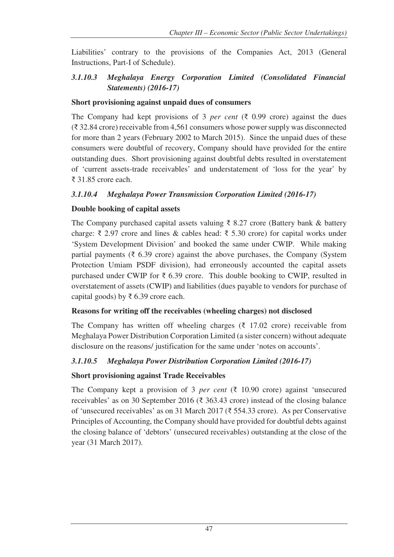Liabilities' contrary to the provisions of the Companies Act, 2013 (General Instructions, Part-I of Schedule).

## *3.1.10.3 Meghalaya Energy Corporation Limited (Consolidated Financial Statements) (2016-17)*

#### **Short provisioning against unpaid dues of consumers**

The Company had kept provisions of 3 *per cent* ( $\bar{\zeta}$  0.99 crore) against the dues (₹ 32.84 crore) receivable from 4,561 consumers whose power supply was disconnected for more than 2 years (February 2002 to March 2015). Since the unpaid dues of these consumers were doubtful of recovery, Company should have provided for the entire outstanding dues. Short provisioning against doubtful debts resulted in overstatement of 'current assets-trade receivables' and understatement of 'loss for the year' by ₹ 31.85 crore each.

## *3.1.10.4 Meghalaya Power Transmission Corporation Limited (2016-17)*

## **Double booking of capital assets**

The Company purchased capital assets valuing ₹ 8.27 crore (Battery bank & battery charge: ₹ 2.97 crore and lines & cables head: ₹ 5.30 crore) for capital works under 'System Development Division' and booked the same under CWIP. While making partial payments ( $\bar{\tau}$  6.39 crore) against the above purchases, the Company (System Protection Umiam PSDF division), had erroneously accounted the capital assets purchased under CWIP for  $\bar{\tau}$  6.39 crore. This double booking to CWIP, resulted in overstatement of assets (CWIP) and liabilities (dues payable to vendors for purchase of capital goods) by ₹ 6.39 crore each.

#### **Reasons for writing off the receivables (wheeling charges) not disclosed**

The Company has written off wheeling charges  $(\xi$  17.02 crore) receivable from Meghalaya Power Distribution Corporation Limited (a sister concern) without adequate disclosure on the reasons/ justification for the same under 'notes on accounts'.

## *3.1.10.5 Meghalaya Power Distribution Corporation Limited (2016-17)*

## **Short provisioning against Trade Receivables**

The Company kept a provision of 3 *per cent* ( $\bar{\xi}$  10.90 crore) against 'unsecured receivables' as on 30 September 2016 (₹ 363.43 crore) instead of the closing balance of 'unsecured receivables' as on 31 March 2017 (₹ 554.33 crore). As per Conservative Principles of Accounting, the Company should have provided for doubtful debts against the closing balance of 'debtors' (unsecured receivables) outstanding at the close of the year (31 March 2017).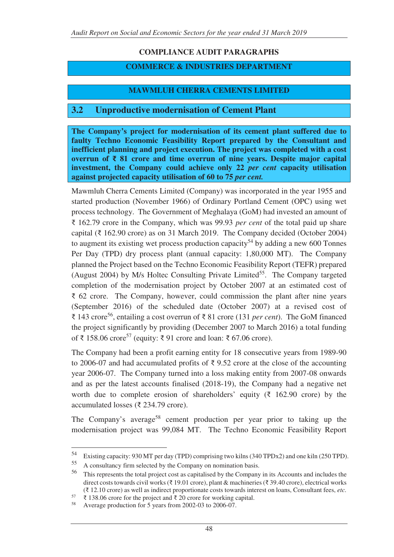# **COMPLIANCE AUDIT PARAGRAPHS**

## **COMMERCE & INDUSTRIES DEPARTMENT**

# **MAWMLUH CHERRA CEMENTS LIMITED**

# **3.2 Unproductive modernisation of Cement Plant**

**The Company's project for modernisation of its cement plant suffered due to faulty Techno Economic Feasibility Report prepared by the Consultant and inefficient planning and project execution. The project was completed with a cost overrun of ₹ 81 crore and time overrun of nine years. Despite major capital investment, the Company could achieve only 22** *per cent* **capacity utilisation against projected capacity utilisation of 60 to 75** *per cent.*

Mawmluh Cherra Cements Limited (Company) was incorporated in the year 1955 and started production (November 1966) of Ordinary Portland Cement (OPC) using wet process technology. The Government of Meghalaya (GoM) had invested an amount of ₹ 162.79 crore in the Company, which was 99.93 *per cent* of the total paid up share capital (₹ 162.90 crore) as on 31 March 2019. The Company decided (October 2004) to augment its existing wet process production capacity<sup>54</sup> by adding a new 600 Tonnes Per Day (TPD) dry process plant (annual capacity: 1,80,000 MT). The Company planned the Project based on the Techno Economic Feasibility Report (TEFR) prepared (August 2004) by M/s Holtec Consulting Private Limited<sup>55</sup>. The Company targeted completion of the modernisation project by October 2007 at an estimated cost of ₹ 62 crore. The Company, however, could commission the plant after nine years (September 2016) of the scheduled date (October 2007) at a revised cost of ₹ 143 crore<sup>56</sup>, entailing a cost overrun of ₹ 81 crore (131 *per cent*). The GoM financed the project significantly by providing (December 2007 to March 2016) a total funding of ₹ 158.06 crore<sup>57</sup> (equity: ₹ 91 crore and loan: ₹ 67.06 crore).

The Company had been a profit earning entity for 18 consecutive years from 1989-90 to 2006-07 and had accumulated profits of  $\bar{\tau}$  9.52 crore at the close of the accounting year 2006-07. The Company turned into a loss making entity from 2007-08 onwards and as per the latest accounts finalised (2018-19), the Company had a negative net worth due to complete erosion of shareholders' equity ( $\bar{\tau}$  162.90 crore) by the accumulated losses (₹ 234.79 crore).

The Company's average<sup>58</sup> cement production per year prior to taking up the modernisation project was 99,084 MT. The Techno Economic Feasibility Report

 $\overline{a}$ 

<sup>54</sup> Existing capacity: 930 MT per day (TPD) comprising two kilns (340 TPDx2) and one kiln (250 TPD).

 $55$  A consultancy firm selected by the Company on nomination basis.<br> $56$  This represents the total project cost as capitalised by the Company

<sup>56</sup> This represents the total project cost as capitalised by the Company in its Accounts and includes the direct costs towards civil works (₹ 19.01 crore), plant & machineries (₹ 39.40 crore), electrical works (₹ 12.10 crore) as well as indirect proportionate costs towards interest on loans, Consultant fees, *etc.*

<sup>57</sup> ₹ 138.06 crore for the project and ₹ 20 crore for working capital.

Average production for  $5$  years from 2002-03 to 2006-07.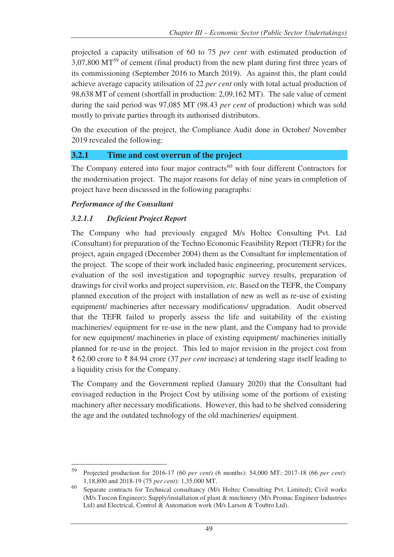projected a capacity utilisation of 60 to 75 *per cent* with estimated production of 3,07,800 MT<sup>59</sup> of cement (final product) from the new plant during first three years of its commissioning (September 2016 to March 2019). As against this, the plant could achieve average capacity utilisation of 22 *per cent* only with total actual production of 98,638 MT of cement (shortfall in production: 2,09,162 MT). The sale value of cement during the said period was 97,085 MT (98.43 *per cent* of production) which was sold mostly to private parties through its authorised distributors.

On the execution of the project, the Compliance Audit done in October/ November 2019 revealed the following:

## **3.2.1 Time and cost overrun of the project**

The Company entered into four major contracts<sup>60</sup> with four different Contractors for the modernisation project. The major reasons for delay of nine years in completion of project have been discussed in the following paragraphs:

#### *Performance of the Consultant*

## *3.2.1.1 Deficient Project Report*

The Company who had previously engaged M/s Holtec Consulting Pvt. Ltd (Consultant) for preparation of the Techno Economic Feasibility Report (TEFR) for the project, again engaged (December 2004) them as the Consultant for implementation of the project. The scope of their work included basic engineering, procurement services, evaluation of the soil investigation and topographic survey results, preparation of drawings for civil works and project supervision, *etc.* Based on the TEFR, the Company planned execution of the project with installation of new as well as re-use of existing equipment/ machineries after necessary modifications/ upgradation. Audit observed that the TEFR failed to properly assess the life and suitability of the existing machineries/ equipment for re-use in the new plant, and the Company had to provide for new equipment/ machineries in place of existing equipment/ machineries initially planned for re-use in the project. This led to major revision in the project cost from ₹ 62.00 crore to ₹ 84.94 crore (37 *per cent* increase) at tendering stage itself leading to a liquidity crisis for the Company.

The Company and the Government replied (January 2020) that the Consultant had envisaged reduction in the Project Cost by utilising some of the portions of existing machinery after necessary modifications. However, this had to be shelved considering the age and the outdated technology of the old machineries/ equipment.

 $\overline{a}$ <sup>59</sup> Projected production for 2016-17 (60 *per cent*) (6 months): 54,000 MT; 2017-18 (66 *per cent*): 1,18,800 and 2018-19 (75 *per cent*): 1,35,000 MT.

<sup>60</sup> Separate contracts for Technical consultancy (M/s Holtec Consulting Pvt. Limited); Civil works (M/s Tuscon Engineer); Supply/installation of plant & machinery (M/s Promac Engineer Industries Ltd) and Electrical, Control & Automation work (M/s Larson & Toubro Ltd).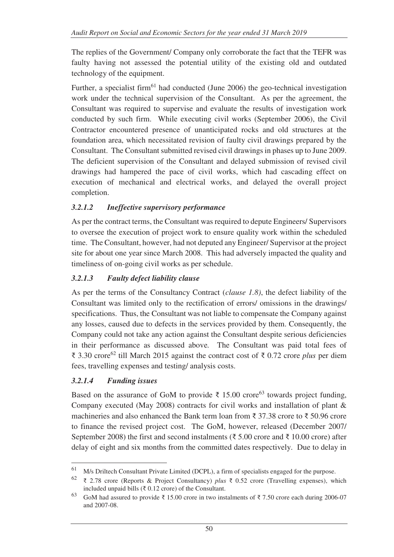The replies of the Government/ Company only corroborate the fact that the TEFR was faulty having not assessed the potential utility of the existing old and outdated technology of the equipment.

Further, a specialist firm<sup>61</sup> had conducted (June 2006) the geo-technical investigation work under the technical supervision of the Consultant. As per the agreement, the Consultant was required to supervise and evaluate the results of investigation work conducted by such firm. While executing civil works (September 2006), the Civil Contractor encountered presence of unanticipated rocks and old structures at the foundation area, which necessitated revision of faulty civil drawings prepared by the Consultant. The Consultant submitted revised civil drawings in phases up to June 2009. The deficient supervision of the Consultant and delayed submission of revised civil drawings had hampered the pace of civil works, which had cascading effect on execution of mechanical and electrical works, and delayed the overall project completion.

## *3.2.1.2 Ineffective supervisory performance*

As per the contract terms, the Consultant was required to depute Engineers/ Supervisors to oversee the execution of project work to ensure quality work within the scheduled time. The Consultant, however, had not deputed any Engineer/ Supervisor at the project site for about one year since March 2008. This had adversely impacted the quality and timeliness of on-going civil works as per schedule.

## *3.2.1.3 Faulty defect liability clause*

As per the terms of the Consultancy Contract (*clause 1.8)*, the defect liability of the Consultant was limited only to the rectification of errors/ omissions in the drawings/ specifications. Thus, the Consultant was not liable to compensate the Company against any losses, caused due to defects in the services provided by them. Consequently, the Company could not take any action against the Consultant despite serious deficiencies in their performance as discussed above*.* The Consultant was paid total fees of ₹ 3.30 crore<sup>62</sup> till March 2015 against the contract cost of ₹ 0.72 crore *plus* per diem fees, travelling expenses and testing/ analysis costs.

## *3.2.1.4 Funding issues*

 $\overline{a}$ 

Based on the assurance of GoM to provide  $\bar{\xi}$  15.00 crore<sup>63</sup> towards project funding, Company executed (May 2008) contracts for civil works and installation of plant & machineries and also enhanced the Bank term loan from ₹ 37.38 crore to ₹ 50.96 crore to finance the revised project cost. The GoM, however, released (December 2007/ September 2008) the first and second instalments (₹ 5.00 crore and ₹ 10.00 crore) after delay of eight and six months from the committed dates respectively. Due to delay in

<sup>61</sup> M/s Driltech Consultant Private Limited (DCPL), a firm of specialists engaged for the purpose.

<sup>62</sup> ₹ 2.78 crore (Reports & Project Consultancy) *plus* ₹ 0.52 crore (Travelling expenses), which included unpaid bills ( $\bar{\tau}$  0.12 crore) of the Consultant.

<sup>63</sup> GoM had assured to provide ₹ 15.00 crore in two instalments of ₹ 7.50 crore each during 2006-07 and 2007-08.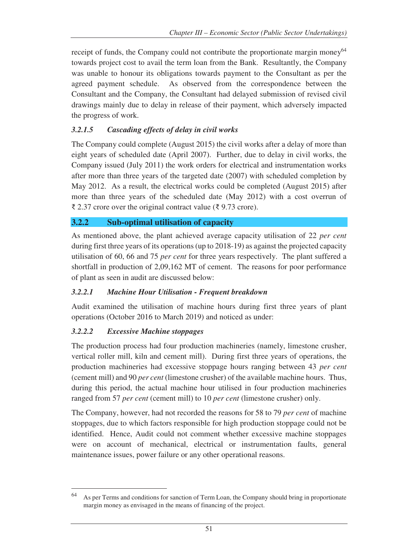receipt of funds, the Company could not contribute the proportionate margin money<sup>64</sup> towards project cost to avail the term loan from the Bank. Resultantly, the Company was unable to honour its obligations towards payment to the Consultant as per the agreed payment schedule. As observed from the correspondence between the Consultant and the Company, the Consultant had delayed submission of revised civil drawings mainly due to delay in release of their payment, which adversely impacted the progress of work.

## *3.2.1.5 Cascading effects of delay in civil works*

The Company could complete (August 2015) the civil works after a delay of more than eight years of scheduled date (April 2007). Further, due to delay in civil works, the Company issued (July 2011) the work orders for electrical and instrumentation works after more than three years of the targeted date (2007) with scheduled completion by May 2012. As a result, the electrical works could be completed (August 2015) after more than three years of the scheduled date (May 2012) with a cost overrun of ₹ 2.37 crore over the original contract value (₹ 9.73 crore).

#### **3.2.2 Sub-optimal utilisation of capacity**

As mentioned above, the plant achieved average capacity utilisation of 22 *per cent*  during first three years of its operations (up to 2018-19) as against the projected capacity utilisation of 60, 66 and 75 *per cent* for three years respectively. The plant suffered a shortfall in production of 2,09,162 MT of cement. The reasons for poor performance of plant as seen in audit are discussed below:

#### *3.2.2.1 Machine Hour Utilisation - Frequent breakdown*

Audit examined the utilisation of machine hours during first three years of plant operations (October 2016 to March 2019) and noticed as under:

#### *3.2.2.2 Excessive Machine stoppages*

The production process had four production machineries (namely, limestone crusher, vertical roller mill, kiln and cement mill). During first three years of operations, the production machineries had excessive stoppage hours ranging between 43 *per cent*  (cement mill) and 90 *per cent* (limestone crusher) of the available machine hours. Thus, during this period, the actual machine hour utilised in four production machineries ranged from 57 *per cent* (cement mill) to 10 *per cent* (limestone crusher) only.

The Company, however, had not recorded the reasons for 58 to 79 *per cent* of machine stoppages, due to which factors responsible for high production stoppage could not be identified. Hence, Audit could not comment whether excessive machine stoppages were on account of mechanical, electrical or instrumentation faults, general maintenance issues, power failure or any other operational reasons.

<sup>64</sup> As per Terms and conditions for sanction of Term Loan, the Company should bring in proportionate margin money as envisaged in the means of financing of the project.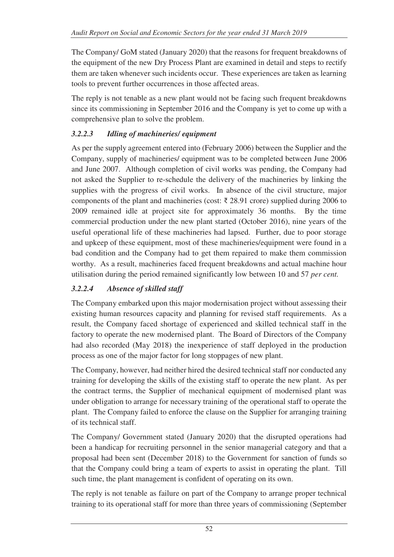The Company/ GoM stated (January 2020) that the reasons for frequent breakdowns of the equipment of the new Dry Process Plant are examined in detail and steps to rectify them are taken whenever such incidents occur. These experiences are taken as learning tools to prevent further occurrences in those affected areas.

The reply is not tenable as a new plant would not be facing such frequent breakdowns since its commissioning in September 2016 and the Company is yet to come up with a comprehensive plan to solve the problem.

# *3.2.2.3 Idling of machineries/ equipment*

As per the supply agreement entered into (February 2006) between the Supplier and the Company, supply of machineries/ equipment was to be completed between June 2006 and June 2007. Although completion of civil works was pending, the Company had not asked the Supplier to re-schedule the delivery of the machineries by linking the supplies with the progress of civil works. In absence of the civil structure, major components of the plant and machineries (cost:  $\bar{\tau}$  28.91 crore) supplied during 2006 to 2009 remained idle at project site for approximately 36 months. By the time commercial production under the new plant started (October 2016), nine years of the useful operational life of these machineries had lapsed. Further, due to poor storage and upkeep of these equipment, most of these machineries/equipment were found in a bad condition and the Company had to get them repaired to make them commission worthy. As a result, machineries faced frequent breakdowns and actual machine hour utilisation during the period remained significantly low between 10 and 57 *per cent.* 

# *3.2.2.4 Absence of skilled staff*

The Company embarked upon this major modernisation project without assessing their existing human resources capacity and planning for revised staff requirements. As a result, the Company faced shortage of experienced and skilled technical staff in the factory to operate the new modernised plant. The Board of Directors of the Company had also recorded (May 2018) the inexperience of staff deployed in the production process as one of the major factor for long stoppages of new plant.

The Company, however, had neither hired the desired technical staff nor conducted any training for developing the skills of the existing staff to operate the new plant. As per the contract terms, the Supplier of mechanical equipment of modernised plant was under obligation to arrange for necessary training of the operational staff to operate the plant. The Company failed to enforce the clause on the Supplier for arranging training of its technical staff.

The Company/ Government stated (January 2020) that the disrupted operations had been a handicap for recruiting personnel in the senior managerial category and that a proposal had been sent (December 2018) to the Government for sanction of funds so that the Company could bring a team of experts to assist in operating the plant. Till such time, the plant management is confident of operating on its own.

The reply is not tenable as failure on part of the Company to arrange proper technical training to its operational staff for more than three years of commissioning (September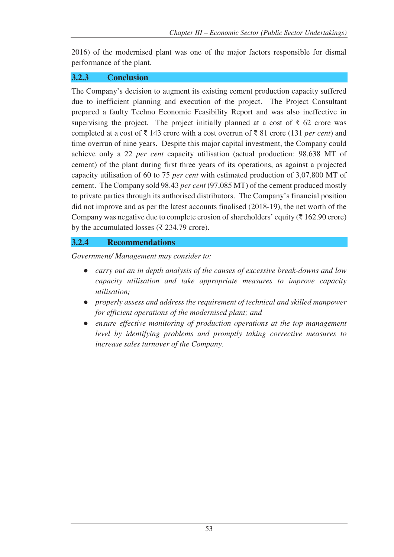2016) of the modernised plant was one of the major factors responsible for dismal performance of the plant.

## **3.2.3 Conclusion**

The Company's decision to augment its existing cement production capacity suffered due to inefficient planning and execution of the project. The Project Consultant prepared a faulty Techno Economic Feasibility Report and was also ineffective in supervising the project. The project initially planned at a cost of  $\bar{\tau}$  62 crore was completed at a cost of ₹ 143 crore with a cost overrun of ₹ 81 crore (131 *per cent*) and time overrun of nine years. Despite this major capital investment, the Company could achieve only a 22 *per cent* capacity utilisation (actual production: 98,638 MT of cement) of the plant during first three years of its operations, as against a projected capacity utilisation of 60 to 75 *per cent* with estimated production of 3,07,800 MT of cement. The Company sold 98.43 *per cent* (97,085 MT) of the cement produced mostly to private parties through its authorised distributors. The Company's financial position did not improve and as per the latest accounts finalised (2018-19), the net worth of the Company was negative due to complete erosion of shareholders' equity ( $\bar{\tau}$  162.90 crore) by the accumulated losses ( $\overline{\xi}$  234.79 crore).

## **3.2.4 Recommendations**

*Government/ Management may consider to:* 

- *carry out an in depth analysis of the causes of excessive break-downs and low capacity utilisation and take appropriate measures to improve capacity utilisation;*
- *properly assess and address the requirement of technical and skilled manpower for efficient operations of the modernised plant; and*
- *ensure effective monitoring of production operations at the top management level by identifying problems and promptly taking corrective measures to increase sales turnover of the Company.*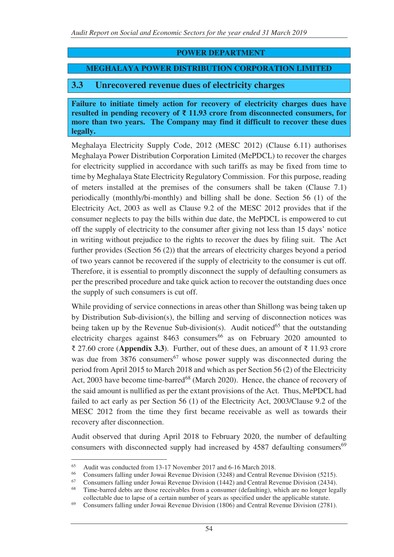#### **POWER DEPARTMENT**

#### **MEGHALAYA POWER DISTRIBUTION CORPORATION LIMITED**

#### **3.3 Unrecovered revenue dues of electricity charges**

**Failure to initiate timely action for recovery of electricity charges dues have resulted in pending recovery of ₹ 11.93 crore from disconnected consumers, for more than two years. The Company may find it difficult to recover these dues legally.** 

Meghalaya Electricity Supply Code, 2012 (MESC 2012) (Clause 6.11) authorises Meghalaya Power Distribution Corporation Limited (MePDCL) to recover the charges for electricity supplied in accordance with such tariffs as may be fixed from time to time by Meghalaya State Electricity Regulatory Commission. For this purpose, reading of meters installed at the premises of the consumers shall be taken (Clause 7.1) periodically (monthly/bi-monthly) and billing shall be done. Section 56 (1) of the Electricity Act, 2003 as well as Clause 9.2 of the MESC 2012 provides that if the consumer neglects to pay the bills within due date, the MePDCL is empowered to cut off the supply of electricity to the consumer after giving not less than 15 days' notice in writing without prejudice to the rights to recover the dues by filing suit. The Act further provides (Section 56 (2)) that the arrears of electricity charges beyond a period of two years cannot be recovered if the supply of electricity to the consumer is cut off. Therefore, it is essential to promptly disconnect the supply of defaulting consumers as per the prescribed procedure and take quick action to recover the outstanding dues once the supply of such consumers is cut off.

While providing of service connections in areas other than Shillong was being taken up by Distribution Sub-division(s), the billing and serving of disconnection notices was being taken up by the Revenue Sub-division(s). Audit noticed<sup>65</sup> that the outstanding electricity charges against  $8463$  consumers<sup>66</sup> as on February 2020 amounted to ₹ 27.60 crore (**Appendix 3.3**). Further, out of these dues, an amount of ₹ 11.93 crore was due from  $3876$  consumers<sup>67</sup> whose power supply was disconnected during the period from April 2015 to March 2018 and which as per Section 56 (2) of the Electricity Act, 2003 have become time-barred<sup>68</sup> (March 2020). Hence, the chance of recovery of the said amount is nullified as per the extant provisions of the Act. Thus, MePDCL had failed to act early as per Section 56 (1) of the Electricity Act, 2003/Clause 9.2 of the MESC 2012 from the time they first became receivable as well as towards their recovery after disconnection.

Audit observed that during April 2018 to February 2020, the number of defaulting consumers with disconnected supply had increased by 4587 defaulting consumers<sup>69</sup>

 $\overline{a}$ 

<sup>&</sup>lt;sup>65</sup> Audit was conducted from 13-17 November 2017 and 6-16 March 2018.<br><sup>66</sup> Consumers folling under Jaugi Bayanua Division (2248) and Cantral Bay

<sup>&</sup>lt;sup>66</sup> Consumers falling under Jowai Revenue Division (3248) and Central Revenue Division (5215).<br><sup>67</sup> Consumers falling under Journal Revenue Division (1442) and Central Revenue Division (2444).

<sup>&</sup>lt;sup>67</sup> Consumers falling under Jowai Revenue Division (1442) and Central Revenue Division (2434).<br><sup>68</sup> Time berred debts are those receivables from a consumer (defeulting), which are no longer legs

Time-barred debts are those receivables from a consumer (defaulting), which are no longer legally collectable due to lapse of a certain number of years as specified under the applicable statute.

<sup>69</sup> Consumers falling under Jowai Revenue Division (1806) and Central Revenue Division (2781).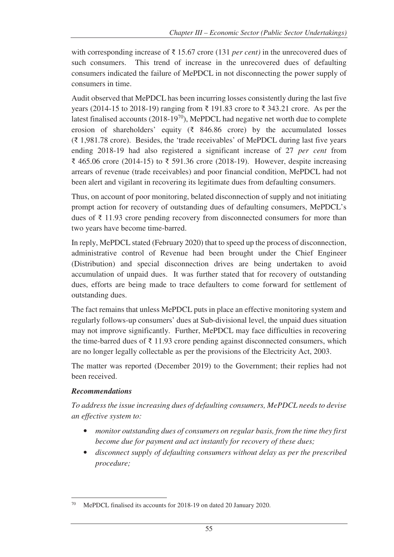with corresponding increase of ₹ 15.67 crore (131 *per cent)* in the unrecovered dues of such consumers. This trend of increase in the unrecovered dues of defaulting consumers indicated the failure of MePDCL in not disconnecting the power supply of consumers in time.

Audit observed that MePDCL has been incurring losses consistently during the last five years (2014-15 to 2018-19) ranging from ₹ 191.83 crore to ₹ 343.21 crore. As per the latest finalised accounts  $(2018-19^{70})$ , MePDCL had negative net worth due to complete erosion of shareholders' equity ( $\bar{\tau}$  846.86 crore) by the accumulated losses (₹ 1,981.78 crore). Besides, the 'trade receivables' of MePDCL during last five years ending 2018-19 had also registered a significant increase of 27 *per cent* from ₹ 465.06 crore (2014-15) to ₹ 591.36 crore (2018-19). However, despite increasing arrears of revenue (trade receivables) and poor financial condition, MePDCL had not been alert and vigilant in recovering its legitimate dues from defaulting consumers.

Thus, on account of poor monitoring, belated disconnection of supply and not initiating prompt action for recovery of outstanding dues of defaulting consumers, MePDCL's dues of ₹ 11.93 crore pending recovery from disconnected consumers for more than two years have become time-barred.

In reply, MePDCL stated (February 2020) that to speed up the process of disconnection, administrative control of Revenue had been brought under the Chief Engineer (Distribution) and special disconnection drives are being undertaken to avoid accumulation of unpaid dues. It was further stated that for recovery of outstanding dues, efforts are being made to trace defaulters to come forward for settlement of outstanding dues.

The fact remains that unless MePDCL puts in place an effective monitoring system and regularly follows-up consumers' dues at Sub-divisional level, the unpaid dues situation may not improve significantly. Further, MePDCL may face difficulties in recovering the time-barred dues of  $\bar{\tau}$  11.93 crore pending against disconnected consumers, which are no longer legally collectable as per the provisions of the Electricity Act, 2003.

The matter was reported (December 2019) to the Government; their replies had not been received.

## *Recommendations*

*To address the issue increasing dues of defaulting consumers, MePDCL needs to devise an effective system to:* 

- *monitor outstanding dues of consumers on regular basis, from the time they first become due for payment and act instantly for recovery of these dues;*
- *disconnect supply of defaulting consumers without delay as per the prescribed procedure;*

 $\overline{a}$ MePDCL finalised its accounts for 2018-19 on dated 20 January 2020.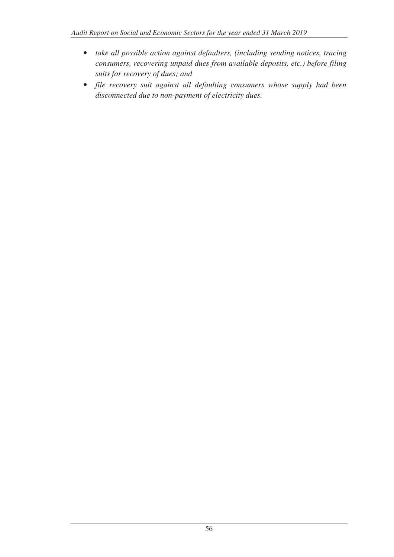- *take all possible action against defaulters, (including sending notices, tracing consumers, recovering unpaid dues from available deposits, etc.) before filing suits for recovery of dues; and*
- *file recovery suit against all defaulting consumers whose supply had been disconnected due to non-payment of electricity dues.*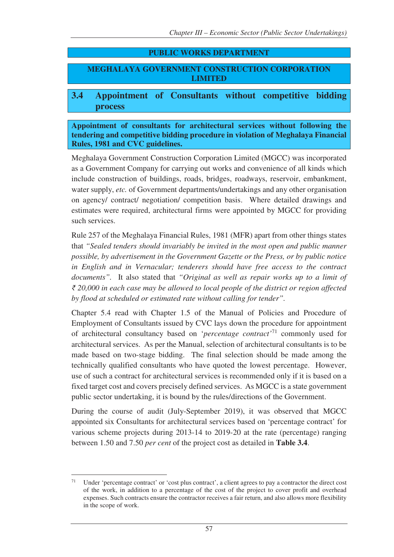## **PUBLIC WORKS DEPARTMENT**

**MEGHALAYA GOVERNMENT CONSTRUCTION CORPORATION LIMITED** 

## **3.4 Appointment of Consultants without competitive bidding process**

**Appointment of consultants for architectural services without following the tendering and competitive bidding procedure in violation of Meghalaya Financial Rules, 1981 and CVC guidelines.**

Meghalaya Government Construction Corporation Limited (MGCC) was incorporated as a Government Company for carrying out works and convenience of all kinds which include construction of buildings, roads, bridges, roadways, reservoir, embankment, water supply, *etc.* of Government departments/undertakings and any other organisation on agency/ contract/ negotiation/ competition basis. Where detailed drawings and estimates were required, architectural firms were appointed by MGCC for providing such services.

Rule 257 of the Meghalaya Financial Rules, 1981 (MFR) apart from other things states that *"Sealed tenders should invariably be invited in the most open and public manner possible, by advertisement in the Government Gazette or the Press, or by public notice in English and in Vernacular; tenderers should have free access to the contract documents".* It also stated that *"Original as well as repair works up to a limit of ₹ 20,000 in each case may be allowed to local people of the district or region affected by flood at scheduled or estimated rate without calling for tender".*

Chapter 5.4 read with Chapter 1.5 of the Manual of Policies and Procedure of Employment of Consultants issued by CVC lays down the procedure for appointment of architectural consultancy based on '*percentage contract'*<sup>71</sup> commonly used for architectural services. As per the Manual, selection of architectural consultants is to be made based on two-stage bidding. The final selection should be made among the technically qualified consultants who have quoted the lowest percentage. However, use of such a contract for architectural services is recommended only if it is based on a fixed target cost and covers precisely defined services. As MGCC is a state government public sector undertaking, it is bound by the rules/directions of the Government.

During the course of audit (July-September 2019), it was observed that MGCC appointed six Consultants for architectural services based on 'percentage contract' for various scheme projects during 2013-14 to 2019-20 at the rate (percentage) ranging between 1.50 and 7.50 *per cent* of the project cost as detailed in **Table 3.4**.

 $71$ Under 'percentage contract' or 'cost plus contract', a client agrees to pay a contractor the direct cost of the work, in addition to a percentage of the cost of the project to cover profit and overhead expenses. Such contracts ensure the contractor receives a fair return, and also allows more flexibility in the scope of work.